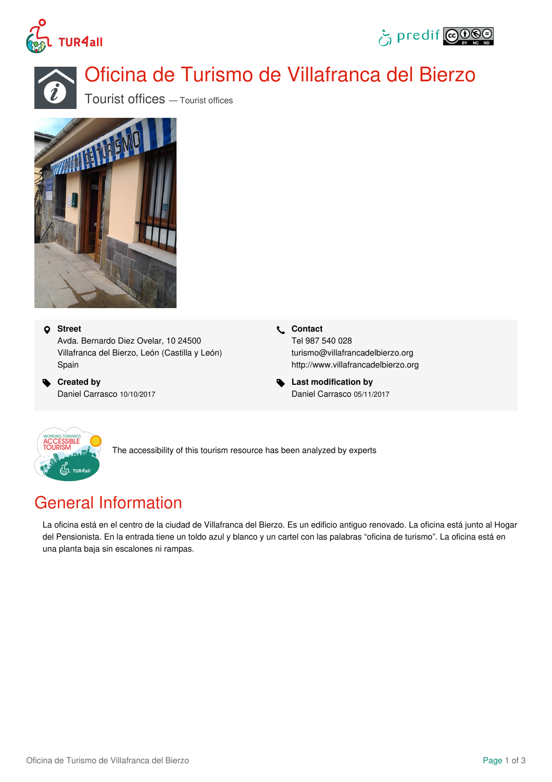





# Oficina de Turismo de Villafranca del Bierzo

Tourist offices — Tourist offices



#### **Street**

Avda. Bernardo Diez Ovelar, 10 24500 Villafranca del Bierzo, León (Castilla y León) Spain

 **Created by** Daniel Carrasco 10/10/2017  **Contact** Tel 987 540 028 turismo@villafrancadelbierzo.org <http://www.villafrancadelbierzo.org>

 **Last modification by** Daniel Carrasco 05/11/2017



The accessibility of this tourism resource has been analyzed by experts

## General Information

La oficina está en el centro de la ciudad de Villafranca del Bierzo. Es un edificio antiguo renovado. La oficina está junto al Hogar del Pensionista. En la entrada tiene un toldo azul y blanco y un cartel con las palabras "oficina de turismo". La oficina está en una planta baja sin escalones ni rampas.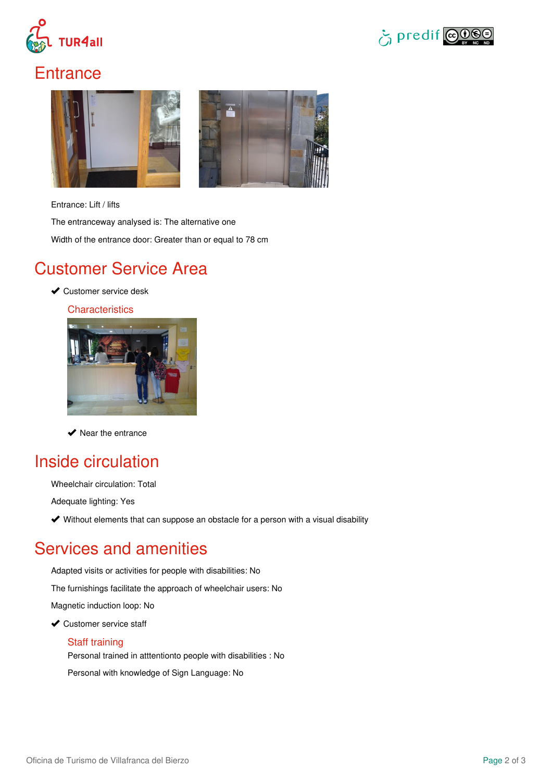



### **Entrance**



Entrance: Lift / lifts

The entranceway analysed is: The alternative one Width of the entrance door: Greater than or equal to 78 cm

#### Customer Service Area

**◆ Customer service desk** 

**Characteristics** 



 $\blacktriangleright$  Near the entrance

### Inside circulation

Wheelchair circulation: Total

Adequate lighting: Yes

Without elements that can suppose an obstacle for a person with a visual disability

## Services and amenities

Adapted visits or activities for people with disabilities: No

The furnishings facilitate the approach of wheelchair users: No

Magnetic induction loop: No

◆ Customer service staff

#### Staff training

Personal trained in atttentionto people with disabilities : No

Personal with knowledge of Sign Language: No